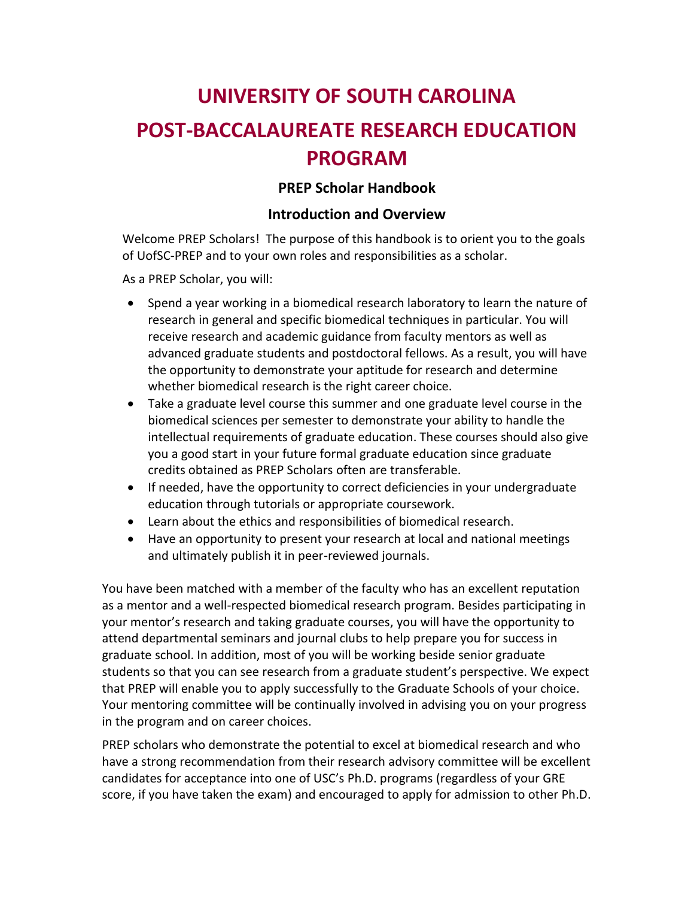# **UNIVERSITY OF SOUTH CAROLINA POST-BACCALAUREATE RESEARCH EDUCATION PROGRAM**

### **PREP Scholar Handbook**

#### **Introduction and Overview**

Welcome PREP Scholars! The purpose of this handbook is to orient you to the goals of UofSC-PREP and to your own roles and responsibilities as a scholar.

As a PREP Scholar, you will:

- Spend a year working in a biomedical research laboratory to learn the nature of research in general and specific biomedical techniques in particular. You will receive research and academic guidance from faculty mentors as well as advanced graduate students and postdoctoral fellows. As a result, you will have the opportunity to demonstrate your aptitude for research and determine whether biomedical research is the right career choice.
- Take a graduate level course this summer and one graduate level course in the biomedical sciences per semester to demonstrate your ability to handle the intellectual requirements of graduate education. These courses should also give you a good start in your future formal graduate education since graduate credits obtained as PREP Scholars often are transferable.
- If needed, have the opportunity to correct deficiencies in your undergraduate education through tutorials or appropriate coursework.
- Learn about the ethics and responsibilities of biomedical research.
- Have an opportunity to present your research at local and national meetings and ultimately publish it in peer-reviewed journals.

You have been matched with a member of the faculty who has an excellent reputation as a mentor and a well-respected biomedical research program. Besides participating in your mentor's research and taking graduate courses, you will have the opportunity to attend departmental seminars and journal clubs to help prepare you for success in graduate school. In addition, most of you will be working beside senior graduate students so that you can see research from a graduate student's perspective. We expect that PREP will enable you to apply successfully to the Graduate Schools of your choice. Your mentoring committee will be continually involved in advising you on your progress in the program and on career choices.

PREP scholars who demonstrate the potential to excel at biomedical research and who have a strong recommendation from their research advisory committee will be excellent candidates for acceptance into one of USC's Ph.D. programs (regardless of your GRE score, if you have taken the exam) and encouraged to apply for admission to other Ph.D.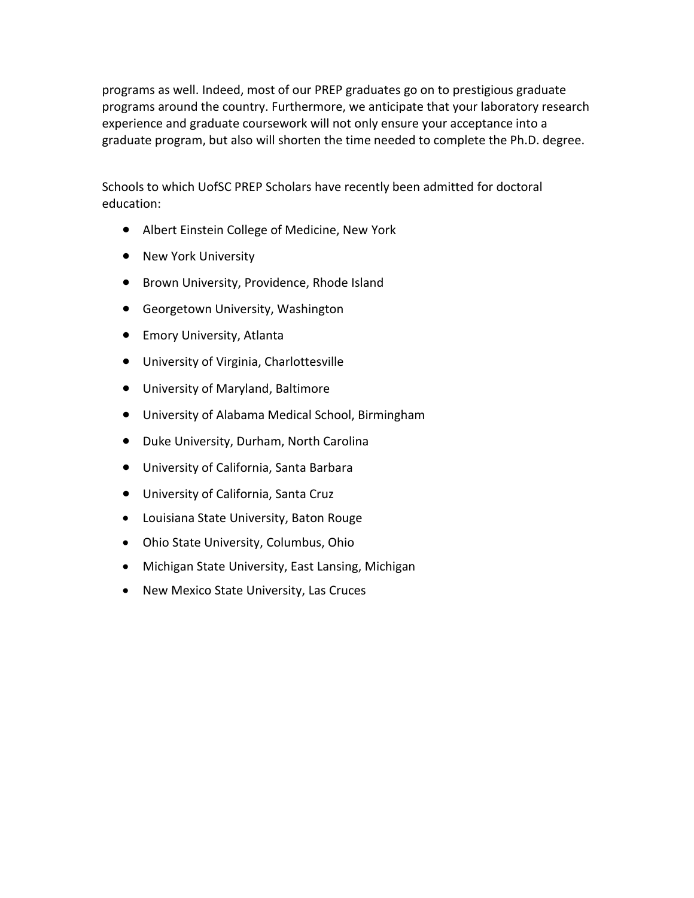programs as well. Indeed, most of our PREP graduates go on to prestigious graduate programs around the country. Furthermore, we anticipate that your laboratory research experience and graduate coursework will not only ensure your acceptance into a graduate program, but also will shorten the time needed to complete the Ph.D. degree.

Schools to which UofSC PREP Scholars have recently been admitted for doctoral education:

- Albert Einstein College of Medicine, New York
- New York University
- **•** Brown University, Providence, Rhode Island
- Georgetown University, Washington
- **•** Emory University, Atlanta
- University of Virginia, Charlottesville
- University of Maryland, Baltimore
- University of Alabama Medical School, Birmingham
- Duke University, Durham, North Carolina
- University of California, Santa Barbara
- University of California, Santa Cruz
- Louisiana State University, Baton Rouge
- Ohio State University, Columbus, Ohio
- Michigan State University, East Lansing, Michigan
- New Mexico State University, Las Cruces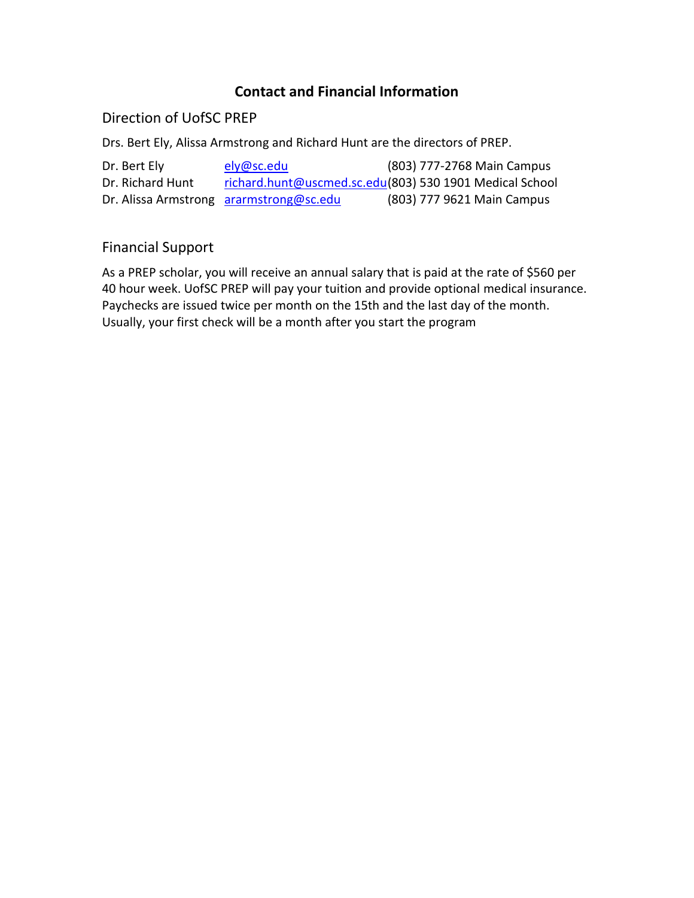## **Contact and Financial Information**

### Direction of UofSC PREP

Drs. Bert Ely, Alissa Armstrong and Richard Hunt are the directors of PREP.

| Dr. Bert Ely     | ely@sc.edu                              | (803) 777-2768 Main Campus                              |
|------------------|-----------------------------------------|---------------------------------------------------------|
| Dr. Richard Hunt |                                         | richard.hunt@uscmed.sc.edu(803) 530 1901 Medical School |
|                  | Dr. Alissa Armstrong ararmstrong@sc.edu | (803) 777 9621 Main Campus                              |

## Financial Support

As a PREP scholar, you will receive an annual salary that is paid at the rate of \$560 per 40 hour week. UofSC PREP will pay your tuition and provide optional medical insurance. Paychecks are issued twice per month on the 15th and the last day of the month. Usually, your first check will be a month after you start the program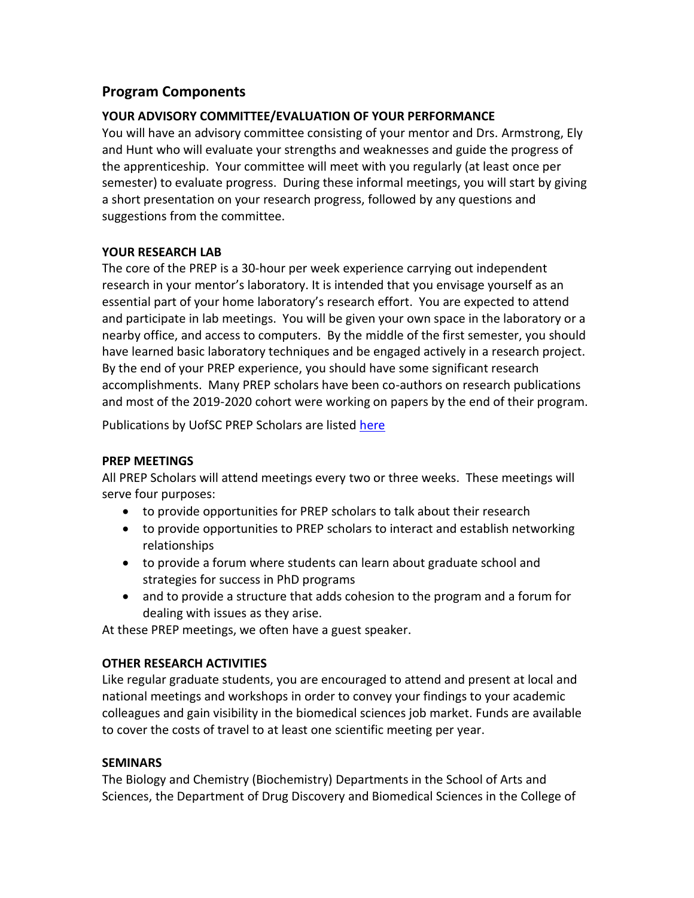### **Program Components**

#### **YOUR ADVISORY COMMITTEE/EVALUATION OF YOUR PERFORMANCE**

You will have an advisory committee consisting of your mentor and Drs. Armstrong, Ely and Hunt who will evaluate your strengths and weaknesses and guide the progress of the apprenticeship. Your committee will meet with you regularly (at least once per semester) to evaluate progress. During these informal meetings, you will start by giving a short presentation on your research progress, followed by any questions and suggestions from the committee.

#### **YOUR RESEARCH LAB**

The core of the PREP is a 30-hour per week experience carrying out independent research in your mentor's laboratory. It is intended that you envisage yourself as an essential part of your home laboratory's research effort. You are expected to attend and participate in lab meetings. You will be given your own space in the laboratory or a nearby office, and access to computers. By the middle of the first semester, you should have learned basic laboratory techniques and be engaged actively in a research project. By the end of your PREP experience, you should have some significant research accomplishments. Many PREP scholars have been co-authors on research publications and most of the 2019-2020 cohort were working on papers by the end of their program.

Publications by UofSC PREP Scholars are listed [here](https://sc.edu/study/colleges_schools/medicine/education/graduate_programs/biomedical_sciences/phd_program/prep_program/success_stories/index.php)

#### **PREP MEETINGS**

All PREP Scholars will attend meetings every two or three weeks. These meetings will serve four purposes:

- to provide opportunities for PREP scholars to talk about their research
- to provide opportunities to PREP scholars to interact and establish networking relationships
- to provide a forum where students can learn about graduate school and strategies for success in PhD programs
- and to provide a structure that adds cohesion to the program and a forum for dealing with issues as they arise.

At these PREP meetings, we often have a guest speaker.

#### **OTHER RESEARCH ACTIVITIES**

Like regular graduate students, you are encouraged to attend and present at local and national meetings and workshops in order to convey your findings to your academic colleagues and gain visibility in the biomedical sciences job market. Funds are available to cover the costs of travel to at least one scientific meeting per year.

#### **SEMINARS**

The Biology and Chemistry (Biochemistry) Departments in the School of Arts and Sciences, the Department of Drug Discovery and Biomedical Sciences in the College of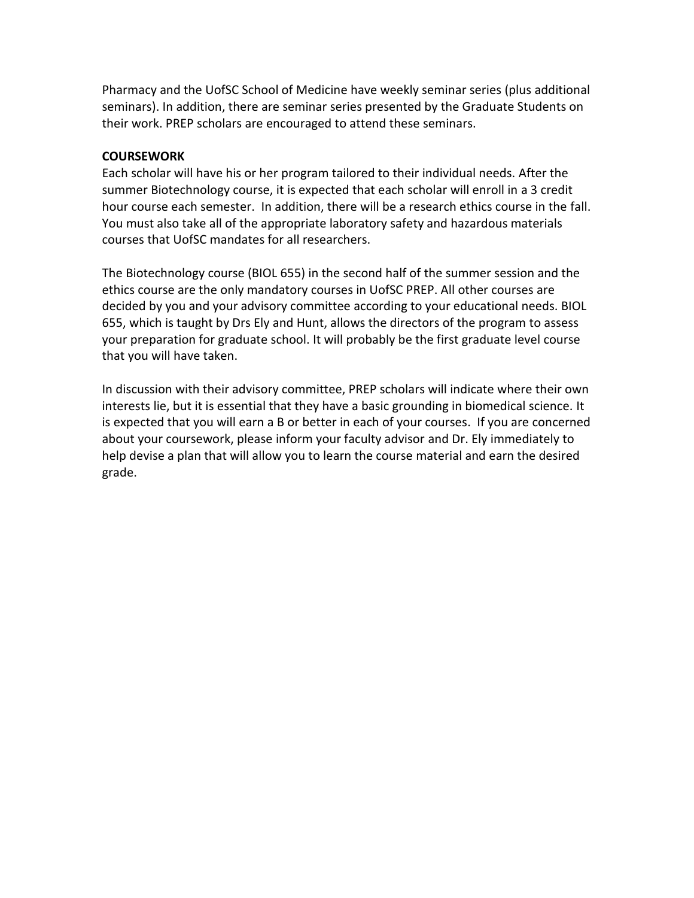Pharmacy and the UofSC School of Medicine have weekly seminar series (plus additional seminars). In addition, there are seminar series presented by the Graduate Students on their work. PREP scholars are encouraged to attend these seminars.

#### **COURSEWORK**

Each scholar will have his or her program tailored to their individual needs. After the summer Biotechnology course, it is expected that each scholar will enroll in a 3 credit hour course each semester. In addition, there will be a research ethics course in the fall. You must also take all of the appropriate laboratory safety and hazardous materials courses that UofSC mandates for all researchers.

The Biotechnology course (BIOL 655) in the second half of the summer session and the ethics course are the only mandatory courses in UofSC PREP. All other courses are decided by you and your advisory committee according to your educational needs. BIOL 655, which is taught by Drs Ely and Hunt, allows the directors of the program to assess your preparation for graduate school. It will probably be the first graduate level course that you will have taken.

In discussion with their advisory committee, PREP scholars will indicate where their own interests lie, but it is essential that they have a basic grounding in biomedical science. It is expected that you will earn a B or better in each of your courses. If you are concerned about your coursework, please inform your faculty advisor and Dr. Ely immediately to help devise a plan that will allow you to learn the course material and earn the desired grade.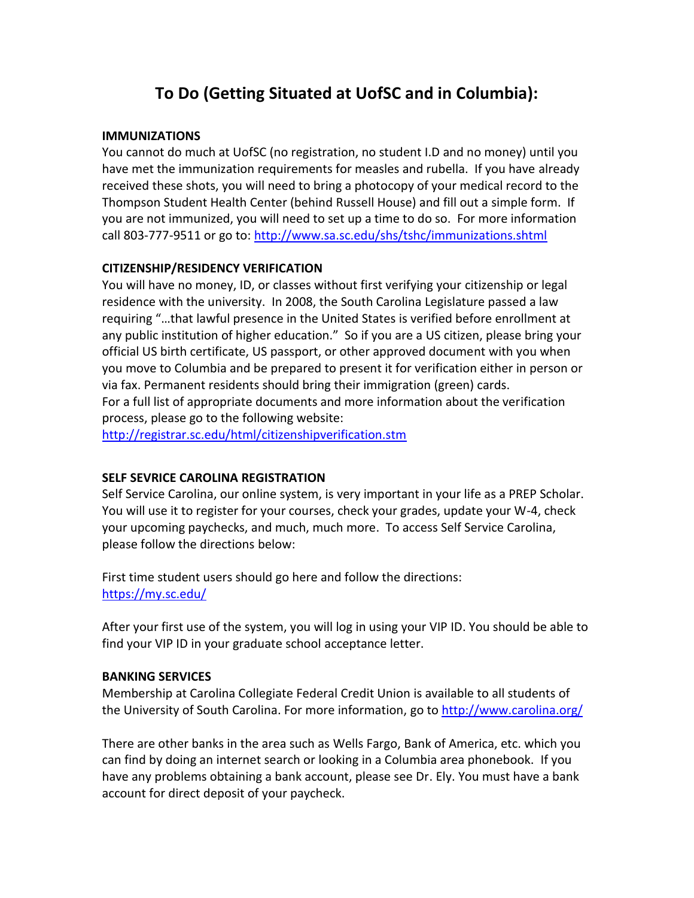## **To Do (Getting Situated at UofSC and in Columbia):**

#### **IMMUNIZATIONS**

You cannot do much at UofSC (no registration, no student I.D and no money) until you have met the immunization requirements for measles and rubella. If you have already received these shots, you will need to bring a photocopy of your medical record to the Thompson Student Health Center (behind Russell House) and fill out a simple form. If you are not immunized, you will need to set up a time to do so. For more information call 803-777-9511 or go to:<http://www.sa.sc.edu/shs/tshc/immunizations.shtml>

#### **CITIZENSHIP/RESIDENCY VERIFICATION**

You will have no money, ID, or classes without first verifying your citizenship or legal residence with the university. In 2008, the South Carolina Legislature passed a law requiring "…that lawful presence in the United States is verified before enrollment at any public institution of higher education." So if you are a US citizen, please bring your official US birth certificate, US passport, or other approved document with you when you move to Columbia and be prepared to present it for verification either in person or via fax. Permanent residents should bring their immigration (green) cards. For a full list of appropriate documents and more information about the verification process, please go to the following website:

<http://registrar.sc.edu/html/citizenshipverification.stm>

#### **SELF SEVRICE CAROLINA REGISTRATION**

Self Service Carolina, our online system, is very important in your life as a PREP Scholar. You will use it to register for your courses, check your grades, update your W-4, check your upcoming paychecks, and much, much more. To access Self Service Carolina, please follow the directions below:

First time student users should go here and follow the directions: <https://my.sc.edu/>

After your first use of the system, you will log in using your VIP ID. You should be able to find your VIP ID in your graduate school acceptance letter.

#### **BANKING SERVICES**

Membership at Carolina Collegiate Federal Credit Union is available to all students of the University of South Carolina. For more information, go to<http://www.carolina.org/>

There are other banks in the area such as Wells Fargo, Bank of America, etc. which you can find by doing an internet search or looking in a Columbia area phonebook. If you have any problems obtaining a bank account, please see Dr. Ely. You must have a bank account for direct deposit of your paycheck.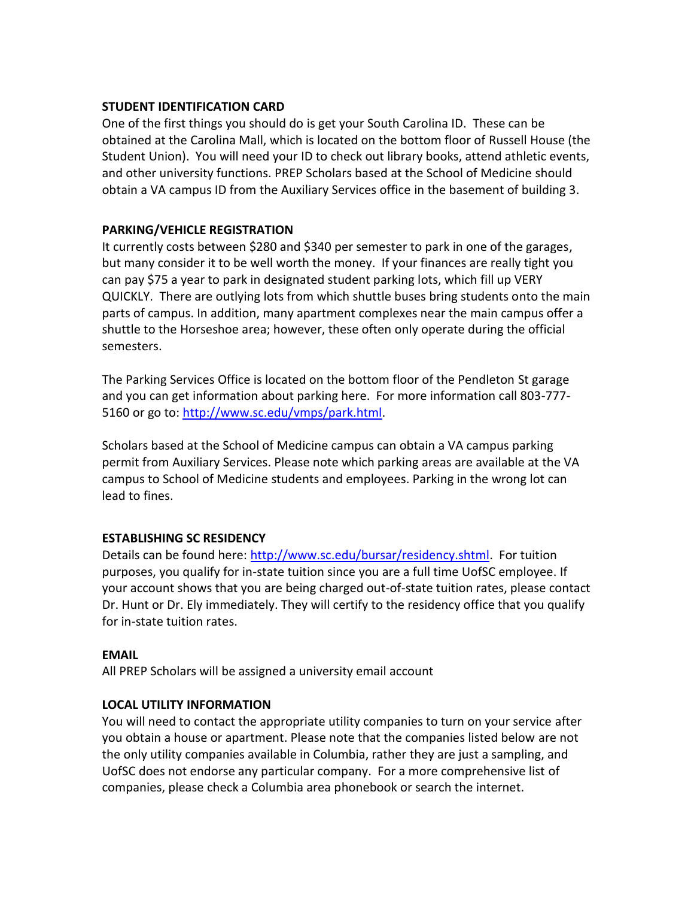#### **STUDENT IDENTIFICATION CARD**

One of the first things you should do is get your South Carolina ID. These can be obtained at the Carolina Mall, which is located on the bottom floor of Russell House (the Student Union). You will need your ID to check out library books, attend athletic events, and other university functions. PREP Scholars based at the School of Medicine should obtain a VA campus ID from the Auxiliary Services office in the basement of building 3.

#### **PARKING/VEHICLE REGISTRATION**

It currently costs between \$280 and \$340 per semester to park in one of the garages, but many consider it to be well worth the money. If your finances are really tight you can pay \$75 a year to park in designated student parking lots, which fill up VERY QUICKLY. There are outlying lots from which shuttle buses bring students onto the main parts of campus. In addition, many apartment complexes near the main campus offer a shuttle to the Horseshoe area; however, these often only operate during the official semesters.

The Parking Services Office is located on the bottom floor of the Pendleton St garage and you can get information about parking here. For more information call 803-777- 5160 or go to: [http://www.sc.edu/vmps/park.html.](http://www.sc.edu/vmps/park.html)

Scholars based at the School of Medicine campus can obtain a VA campus parking permit from Auxiliary Services. Please note which parking areas are available at the VA campus to School of Medicine students and employees. Parking in the wrong lot can lead to fines.

#### **ESTABLISHING SC RESIDENCY**

Details can be found here: [http://www.sc.edu/bursar/residency.shtml.](http://www.sc.edu/bursar/residency.shtml) For tuition purposes, you qualify for in-state tuition since you are a full time UofSC employee. If your account shows that you are being charged out-of-state tuition rates, please contact Dr. Hunt or Dr. Ely immediately. They will certify to the residency office that you qualify for in-state tuition rates.

#### **EMAIL**

All PREP Scholars will be assigned a university email account

#### **LOCAL UTILITY INFORMATION**

You will need to contact the appropriate utility companies to turn on your service after you obtain a house or apartment. Please note that the companies listed below are not the only utility companies available in Columbia, rather they are just a sampling, and UofSC does not endorse any particular company. For a more comprehensive list of companies, please check a Columbia area phonebook or search the internet.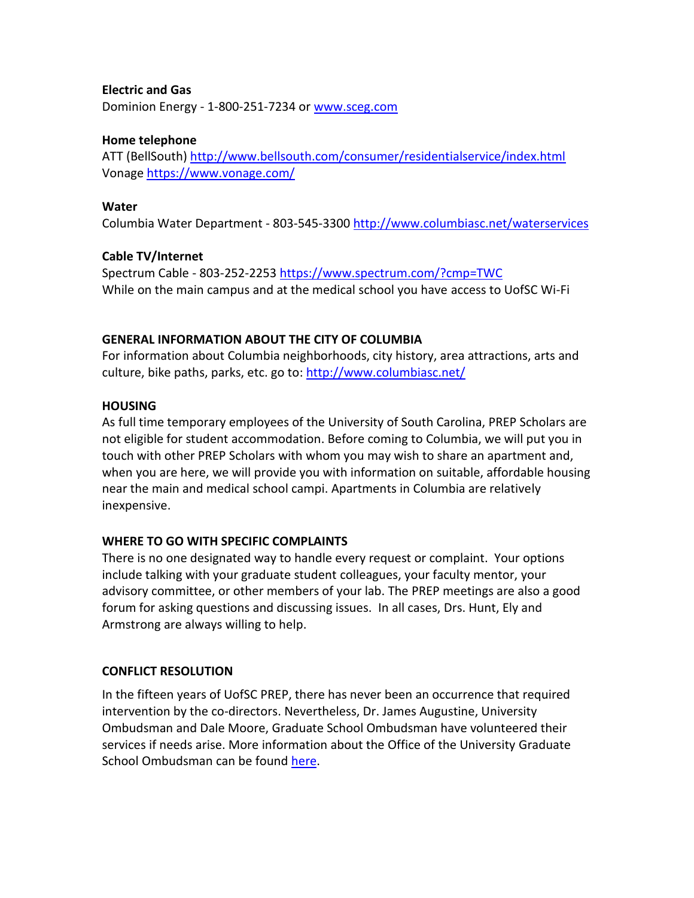#### **Electric and Gas**

Dominion Energy - 1-800-251-7234 or [www.sceg.com](http://www.sceg.com/)

#### **Home telephone**

ATT (BellSouth)<http://www.bellsouth.com/consumer/residentialservice/index.html> Vonage<https://www.vonage.com/>

#### **Water**

Columbia Water Department - 803-545-330[0 http://www.columbiasc.net/waterservices](http://www.columbiasc.net/waterservices)

#### **Cable TV/Internet**

Spectrum Cable - 803-252-2253<https://www.spectrum.com/?cmp=TWC> While on the main campus and at the medical school you have access to UofSC Wi-Fi

#### **GENERAL INFORMATION ABOUT THE CITY OF COLUMBIA**

For information about Columbia neighborhoods, city history, area attractions, arts and culture, bike paths, parks, etc. go to:<http://www.columbiasc.net/>

#### **HOUSING**

As full time temporary employees of the University of South Carolina, PREP Scholars are not eligible for student accommodation. Before coming to Columbia, we will put you in touch with other PREP Scholars with whom you may wish to share an apartment and, when you are here, we will provide you with information on suitable, affordable housing near the main and medical school campi. Apartments in Columbia are relatively inexpensive.

#### **WHERE TO GO WITH SPECIFIC COMPLAINTS**

There is no one designated way to handle every request or complaint. Your options include talking with your graduate student colleagues, your faculty mentor, your advisory committee, or other members of your lab. The PREP meetings are also a good forum for asking questions and discussing issues. In all cases, Drs. Hunt, Ely and Armstrong are always willing to help.

#### **CONFLICT RESOLUTION**

In the fifteen years of UofSC PREP, there has never been an occurrence that required intervention by the co-directors. Nevertheless, Dr. James Augustine, University Ombudsman and Dale Moore, Graduate School Ombudsman have volunteered their services if needs arise. More information about the Office of the University Graduate School Ombudsman can be found [here.](https://www.sc.edu/study/colleges_schools/graduate_school/opportunities_support/ombuds/index.php)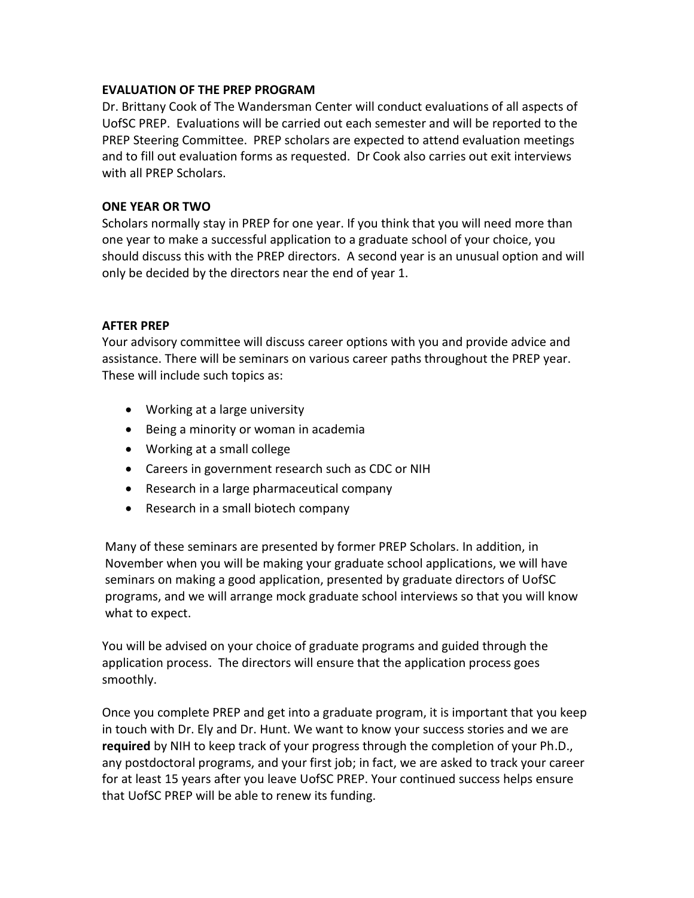#### **EVALUATION OF THE PREP PROGRAM**

Dr. Brittany Cook of The Wandersman Center will conduct evaluations of all aspects of UofSC PREP. Evaluations will be carried out each semester and will be reported to the PREP Steering Committee. PREP scholars are expected to attend evaluation meetings and to fill out evaluation forms as requested. Dr Cook also carries out exit interviews with all PREP Scholars.

#### **ONE YEAR OR TWO**

Scholars normally stay in PREP for one year. If you think that you will need more than one year to make a successful application to a graduate school of your choice, you should discuss this with the PREP directors. A second year is an unusual option and will only be decided by the directors near the end of year 1.

#### **AFTER PREP**

Your advisory committee will discuss career options with you and provide advice and assistance. There will be seminars on various career paths throughout the PREP year. These will include such topics as:

- Working at a large university
- Being a minority or woman in academia
- Working at a small college
- Careers in government research such as CDC or NIH
- Research in a large pharmaceutical company
- Research in a small biotech company

Many of these seminars are presented by former PREP Scholars. In addition, in November when you will be making your graduate school applications, we will have seminars on making a good application, presented by graduate directors of UofSC programs, and we will arrange mock graduate school interviews so that you will know what to expect.

You will be advised on your choice of graduate programs and guided through the application process. The directors will ensure that the application process goes smoothly.

Once you complete PREP and get into a graduate program, it is important that you keep in touch with Dr. Ely and Dr. Hunt. We want to know your success stories and we are **required** by NIH to keep track of your progress through the completion of your Ph.D., any postdoctoral programs, and your first job; in fact, we are asked to track your career for at least 15 years after you leave UofSC PREP. Your continued success helps ensure that UofSC PREP will be able to renew its funding.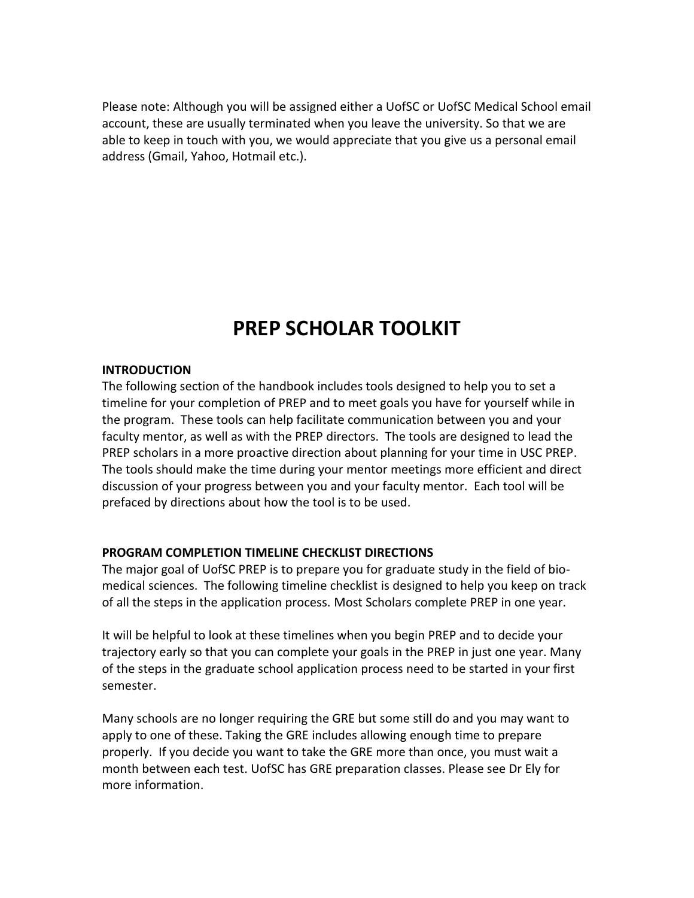Please note: Although you will be assigned either a UofSC or UofSC Medical School email account, these are usually terminated when you leave the university. So that we are able to keep in touch with you, we would appreciate that you give us a personal email address (Gmail, Yahoo, Hotmail etc.).

## **PREP SCHOLAR TOOLKIT**

#### **INTRODUCTION**

The following section of the handbook includes tools designed to help you to set a timeline for your completion of PREP and to meet goals you have for yourself while in the program. These tools can help facilitate communication between you and your faculty mentor, as well as with the PREP directors. The tools are designed to lead the PREP scholars in a more proactive direction about planning for your time in USC PREP. The tools should make the time during your mentor meetings more efficient and direct discussion of your progress between you and your faculty mentor. Each tool will be prefaced by directions about how the tool is to be used.

#### **PROGRAM COMPLETION TIMELINE CHECKLIST DIRECTIONS**

The major goal of UofSC PREP is to prepare you for graduate study in the field of biomedical sciences. The following timeline checklist is designed to help you keep on track of all the steps in the application process. Most Scholars complete PREP in one year.

It will be helpful to look at these timelines when you begin PREP and to decide your trajectory early so that you can complete your goals in the PREP in just one year. Many of the steps in the graduate school application process need to be started in your first semester.

Many schools are no longer requiring the GRE but some still do and you may want to apply to one of these. Taking the GRE includes allowing enough time to prepare properly. If you decide you want to take the GRE more than once, you must wait a month between each test. UofSC has GRE preparation classes. Please see Dr Ely for more information.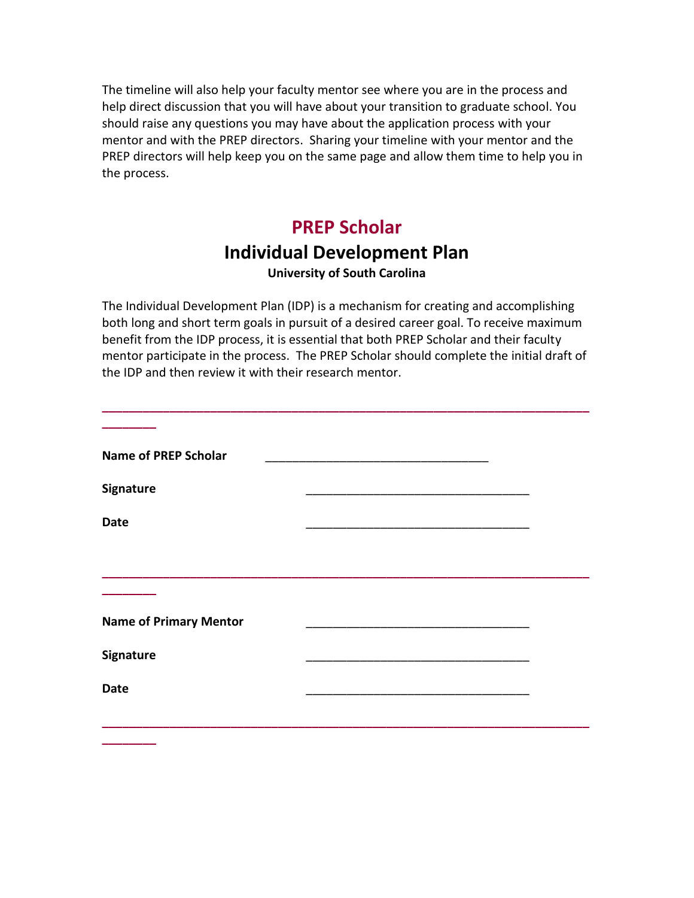The timeline will also help your faculty mentor see where you are in the process and help direct discussion that you will have about your transition to graduate school. You should raise any questions you may have about the application process with your mentor and with the PREP directors. Sharing your timeline with your mentor and the PREP directors will help keep you on the same page and allow them time to help you in the process.

## **PREP Scholar**

## **Individual Development Plan**

#### **University of South Carolina**

The Individual Development Plan (IDP) is a mechanism for creating and accomplishing both long and short term goals in pursuit of a desired career goal. To receive maximum benefit from the IDP process, it is essential that both PREP Scholar and their faculty mentor participate in the process. The PREP Scholar should complete the initial draft of the IDP and then review it with their research mentor.

**\_\_\_\_\_\_\_\_\_\_\_\_\_\_\_\_\_\_\_\_\_\_\_\_\_\_\_\_\_\_\_\_\_\_\_\_\_\_\_\_\_\_\_\_\_\_\_\_\_\_\_\_\_\_\_\_\_\_\_\_\_\_\_\_\_\_\_\_\_\_\_\_**

| <b>Name of PREP Scholar</b>   |  |
|-------------------------------|--|
|                               |  |
| Signature                     |  |
| <b>Date</b>                   |  |
|                               |  |
|                               |  |
| <b>Name of Primary Mentor</b> |  |
| <b>Signature</b>              |  |
| <b>Date</b>                   |  |
|                               |  |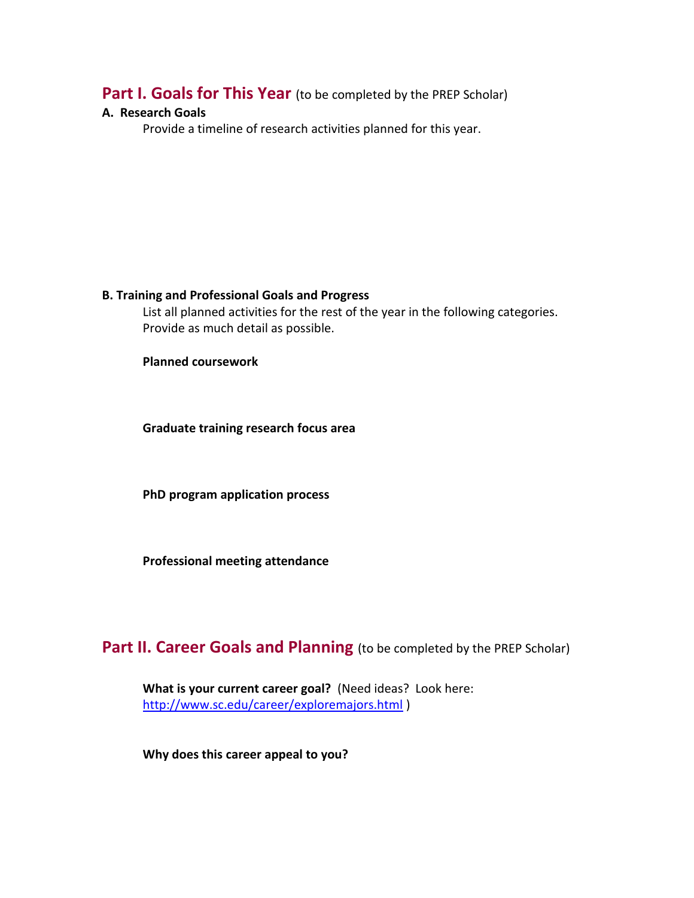### **Part I. Goals for This Year** (to be completed by the PREP Scholar)

#### **A. Research Goals**

Provide a timeline of research activities planned for this year.

#### **B. Training and Professional Goals and Progress**

List all planned activities for the rest of the year in the following categories. Provide as much detail as possible.

**Planned coursework**

**Graduate training research focus area**

**PhD program application process**

**Professional meeting attendance** 

## **Part II. Career Goals and Planning** (to be completed by the PREP Scholar)

**What is your current career goal?** (Need ideas? Look here: <http://www.sc.edu/career/exploremajors.html> )

**Why does this career appeal to you?**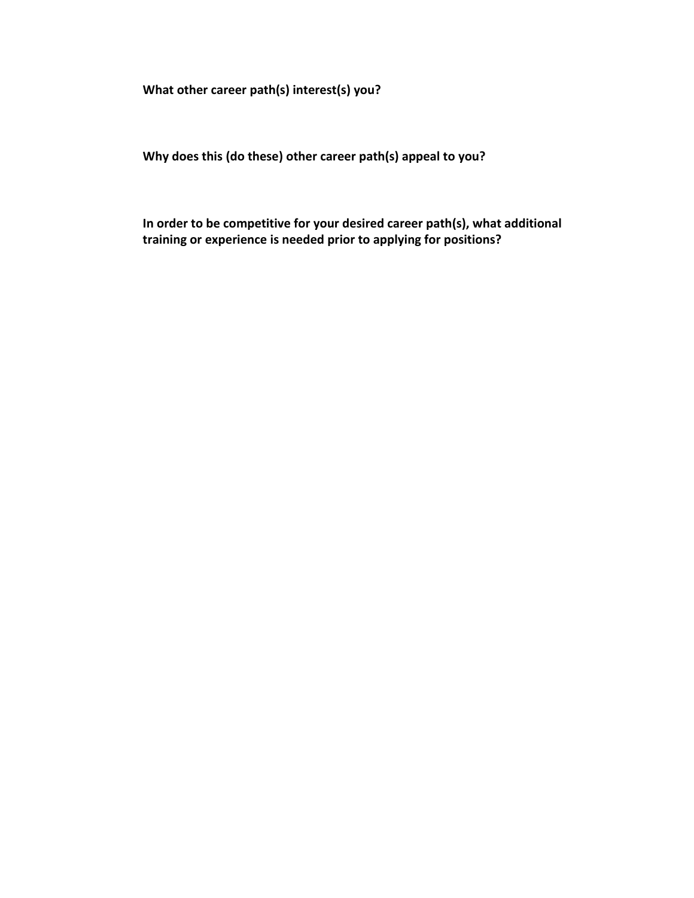**What other career path(s) interest(s) you?** 

**Why does this (do these) other career path(s) appeal to you?**

**In order to be competitive for your desired career path(s), what additional training or experience is needed prior to applying for positions?**